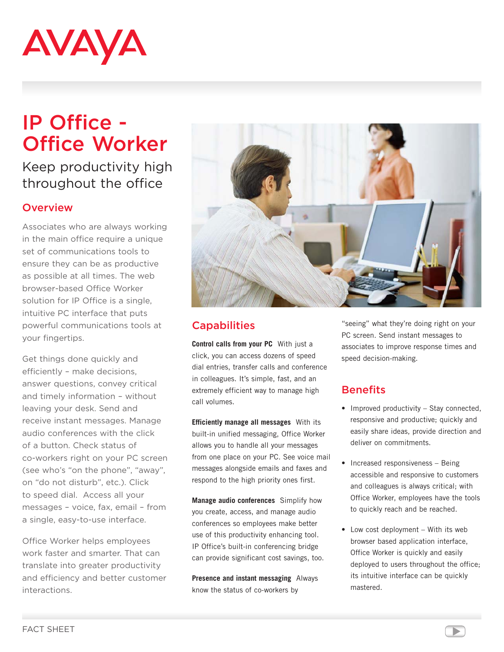

# IP Office - Office Worker

## Keep productivity high throughout the office

#### **Overview**

Associates who are always working in the main office require a unique set of communications tools to ensure they can be as productive as possible at all times. The web browser-based Office Worker solution for IP Office is a single, intuitive PC interface that puts powerful communications tools at your fingertips.

Get things done quickly and efficiently – make decisions, answer questions, convey critical and timely information – without leaving your desk. Send and receive instant messages. Manage audio conferences with the click of a button. Check status of co-workers right on your PC screen (see who's "on the phone", "away", on "do not disturb", etc.). Click to speed dial. Access all your messages – voice, fax, email – from a single, easy-to-use interface.

Office Worker helps employees work faster and smarter. That can translate into greater productivity and efficiency and better customer interactions.



#### **Capabilities**

**Control calls from your PC** With just a click, you can access dozens of speed dial entries, transfer calls and conference in colleagues. It's simple, fast, and an extremely efficient way to manage high call volumes.

**Efficiently manage all messages** With its built-in unified messaging, Office Worker allows you to handle all your messages from one place on your PC. See voice mail messages alongside emails and faxes and respond to the high priority ones first.

**Manage audio conferences** Simplify how you create, access, and manage audio conferences so employees make better use of this productivity enhancing tool. IP Office's built-in conferencing bridge can provide significant cost savings, too.

**Presence and instant messaging** Always know the status of co-workers by

"seeing" what they're doing right on your PC screen. Send instant messages to associates to improve response times and speed decision-making.

#### **Benefits**

- Improved productivity Stay connected, responsive and productive; quickly and easily share ideas, provide direction and deliver on commitments.
- Increased responsiveness Being accessible and responsive to customers and colleagues is always critical; with Office Worker, employees have the tools to quickly reach and be reached.
- Low cost deployment With its web browser based application interface, Office Worker is quickly and easily deployed to users throughout the office; its intuitive interface can be quickly mastered.